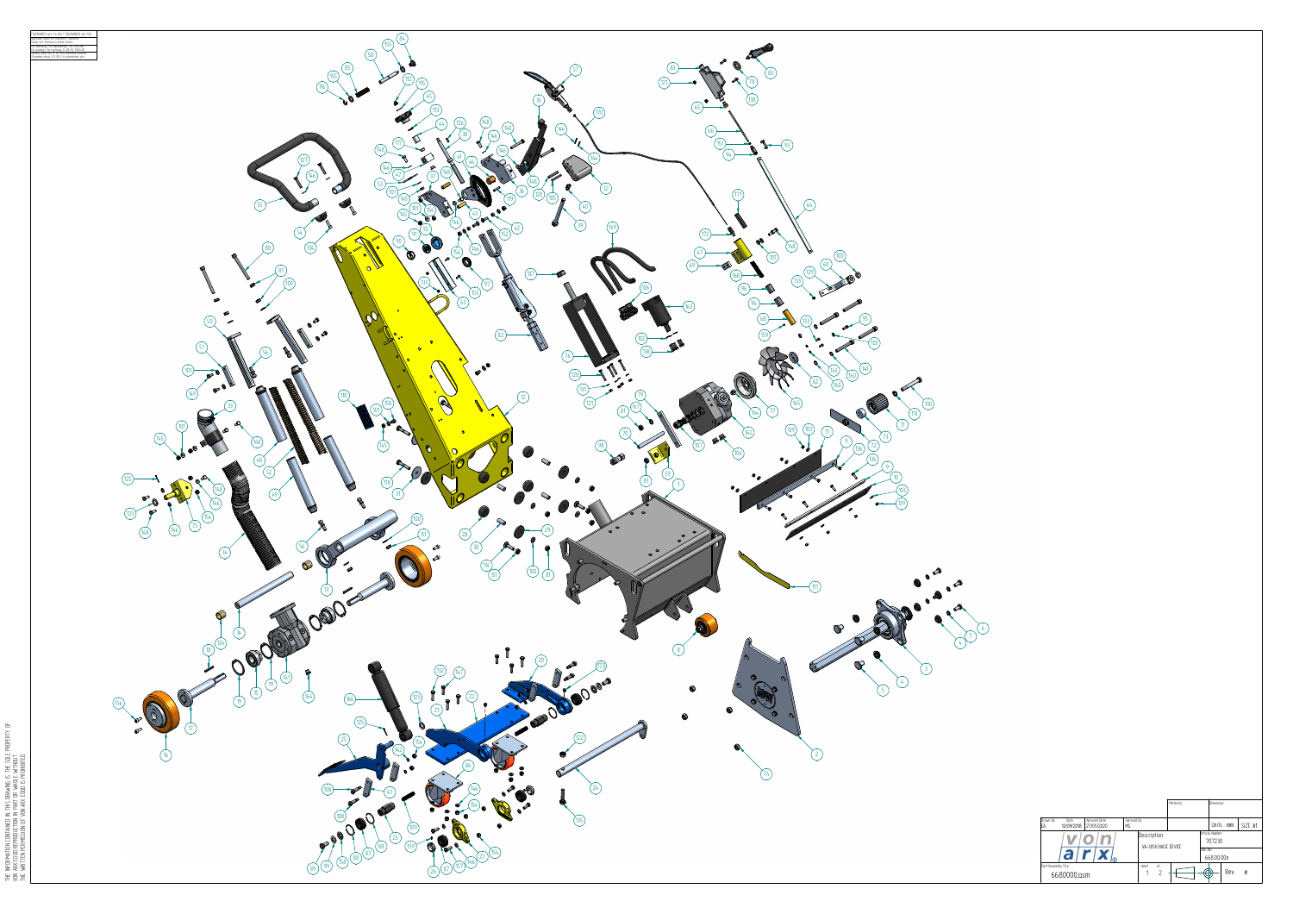|                                 |                    |                            |                         |                                              | Material |                                    | Dimension  |              |           |
|---------------------------------|--------------------|----------------------------|-------------------------|----------------------------------------------|----------|------------------------------------|------------|--------------|-----------|
| Drawn By<br>GS                  | Date<br>12/09/2018 | Aproved Date<br>27/05/2020 | Aproved By<br><b>MS</b> |                                              |          |                                    |            | Units $:$ mm | SIZE A1   |
|                                 |                    |                            |                         | Description<br>VA-30SH BASIC DEVICE          |          | Article Number<br>707230<br>DWG NO |            |              |           |
| a<br>$r$ $ \mathbf{x} _{\circ}$ |                    |                            |                         |                                              |          |                                    | 668.00.00e |              |           |
| Part/Assembly File              | 6680000.asm        |                            |                         | sheet<br>οf<br>$\overline{2}$<br>$\mathbf 1$ |          | Æ                                  |            | Rev.         | ${\sf e}$ |

THE INFORMATION CONTAINED IN THIS DRAWING IS THE SOLE PROPERTY OF